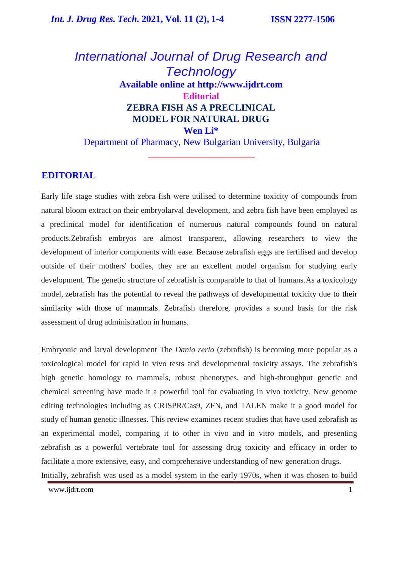# *International Journal of Drug Research and Technology* **Available online at [http://www.ijdrt.com](http://www.ijdrt.com/) Editorial ZEBRA FISH AS A PRECLINICAL MODEL FOR NATURAL DRUG Wen Li\***

Department of Pharmacy, New Bulgarian University, Bulgaria

### **EDITORIAL**

Early life stage studies with zebra fish were utilised to determine toxicity of compounds from natural bloom extract on their embryolarval development, and zebra fish have been employed as a preclinical model for identification of numerous natural compounds found on natural products.Zebrafish embryos are almost transparent, allowing researchers to view the development of interior components with ease. Because zebrafish eggs are fertilised and develop outside of their mothers' bodies, they are an excellent model organism for studying early development. The genetic structure of zebrafish is comparable to that of humans.As a toxicology model, zebrafish has the potential to reveal the pathways of developmental toxicity due to their similarity with those of mammals. Zebrafish therefore, provides a sound basis for the risk assessment of drug administration in humans.

Embryonic and larval development The *Danio rerio* (zebrafish) is becoming more popular as a toxicological model for rapid in vivo tests and developmental toxicity assays. The zebrafish's high genetic homology to mammals, robust phenotypes, and high-throughput genetic and chemical screening have made it a powerful tool for evaluating in vivo toxicity. New genome editing technologies including as CRISPR/Cas9, ZFN, and TALEN make it a good model for study of human genetic illnesses. This review examines recent studies that have used zebrafish as an experimental model, comparing it to other in vivo and in vitro models, and presenting zebrafish as a powerful vertebrate tool for assessing drug toxicity and efficacy in order to facilitate a more extensive, easy, and comprehensive understanding of new generation drugs.

Initially, zebrafish was used as a model system in the early 1970s, when it was chosen to build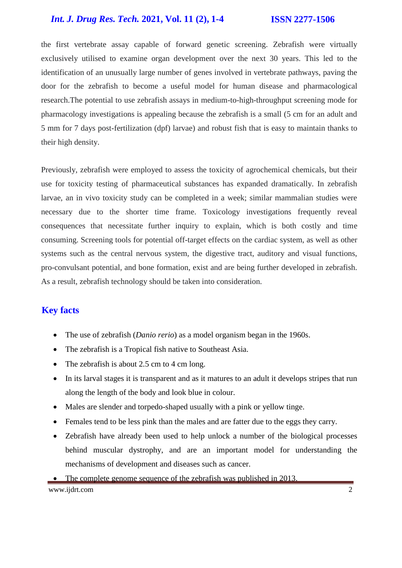### *Int. J. Drug Res. Tech.* **2021, Vol. 11 (2), 1-4 ISSN 2277-1506**

the first vertebrate assay capable of forward genetic screening. Zebrafish were virtually exclusively utilised to examine organ development over the next 30 years. This led to the identification of an unusually large number of genes involved in vertebrate pathways, paving the door for the zebrafish to become a useful model for human disease and pharmacological research.The potential to use zebrafish assays in medium-to-high-throughput screening mode for pharmacology investigations is appealing because the zebrafish is a small (5 cm for an adult and 5 mm for 7 days post-fertilization (dpf) larvae) and robust fish that is easy to maintain thanks to their high density.

Previously, zebrafish were employed to assess the toxicity of agrochemical chemicals, but their use for toxicity testing of pharmaceutical substances has expanded dramatically. In zebrafish larvae, an in vivo toxicity study can be completed in a week; similar mammalian studies were necessary due to the shorter time frame. Toxicology investigations frequently reveal consequences that necessitate further inquiry to explain, which is both costly and time consuming. Screening tools for potential off-target effects on the cardiac system, as well as other systems such as the central nervous system, the digestive tract, auditory and visual functions, pro-convulsant potential, and bone formation, exist and are being further developed in zebrafish. As a result, zebrafish technology should be taken into consideration.

## **Key facts**

- The use of zebrafish (*Danio rerio*) as a model organism began in the 1960s.
- The zebrafish is a Tropical fish native to Southeast Asia.
- The zebrafish is about 2.5 cm to 4 cm long.
- In its larval stages it is transparent and as it matures to an adult it develops stripes that run along the length of the body and look blue in colour.
- Males are slender and torpedo-shaped usually with a pink or yellow tinge.
- Females tend to be less pink than the males and are fatter due to the eggs they carry.
- Zebrafish have already been used to help unlock a number of the biological processes behind muscular dystrophy, and are an important model for understanding the mechanisms of development and diseases such as cancer.

#### • The complete genome sequence of the zebrafish was published in 2013.

[www.ijdrt.com](http://www.ijdrt.com/) 2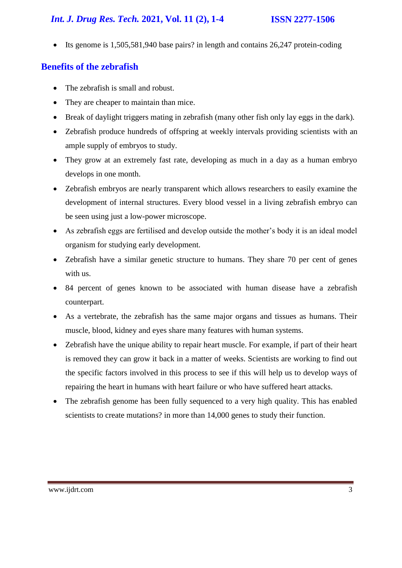# *Int. J. Drug Res. Tech.* **2021, Vol. 11 (2), 1-4 ISSN 2277-1506**

Its genome is  $1,505,581,940$  base pairs? in length and contains  $26,247$  protein-coding

# **Benefits of the zebrafish**

- The zebrafish is small and robust.
- They are cheaper to maintain than mice.
- Break of daylight triggers mating in zebrafish (many other fish only lay eggs in the dark).
- Zebrafish produce hundreds of offspring at weekly intervals providing scientists with an ample supply of embryos to study.
- They grow at an extremely fast rate, developing as much in a day as a human embryo develops in one month.
- Zebrafish embryos are nearly transparent which allows researchers to easily examine the development of internal structures. Every blood vessel in a living zebrafish embryo can be seen using just a low-power microscope.
- As zebrafish eggs are fertilised and develop outside the mother's body it is an ideal model organism for studying early development.
- Zebrafish have a similar genetic structure to humans. They share 70 per cent of genes with us.
- 84 percent of genes known to be associated with human disease have a zebrafish counterpart.
- As a vertebrate, the zebrafish has the same major organs and tissues as humans. Their muscle, blood, kidney and eyes share many features with human systems.
- Zebrafish have the unique ability to repair heart muscle. For example, if part of their heart is removed they can grow it back in a matter of weeks. Scientists are working to find out the specific factors involved in this process to see if this will help us to develop ways of repairing the heart in humans with heart failure or who have suffered heart attacks.
- The zebrafish genome has been fully sequenced to a very high quality. This has enabled scientists to create mutations? in more than 14,000 genes to study their function.